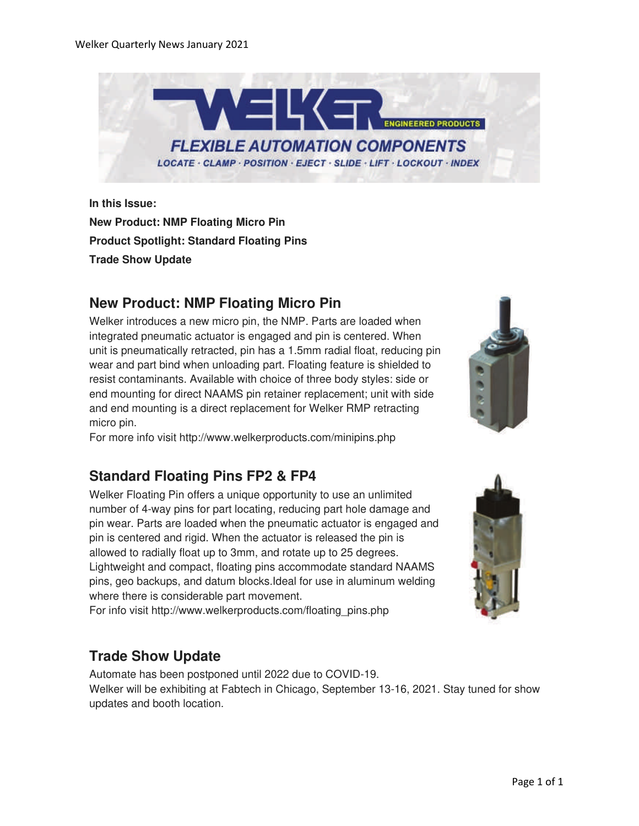

**In this Issue: New Product: NMP Floating Micro Pin Product Spotlight: Standard Floating Pins Trade Show Update**

## **New Product: NMP Floating Micro Pin**

Welker introduces a new micro pin, the NMP. Parts are loaded when integrated pneumatic actuator is engaged and pin is centered. When unit is pneumatically retracted, pin has a 1.5mm radial float, reducing pin wear and part bind when unloading part. Floating feature is shielded to resist contaminants. Available with choice of three body styles: side or end mounting for direct NAAMS pin retainer replacement; unit with side and end mounting is a direct replacement for Welker RMP retracting micro pin.

For more info visit http://www.welkerproducts.com/minipins.php

#### **Standard Floating Pins FP2 & FP4**

Welker Floating Pin offers a unique opportunity to use an unlimited number of 4-way pins for part locating, reducing part hole damage and pin wear. Parts are loaded when the pneumatic actuator is engaged and pin is centered and rigid. When the actuator is released the pin is allowed to radially float up to 3mm, and rotate up to 25 degrees. Lightweight and compact, floating pins accommodate standard NAAMS pins, geo backups, and datum blocks.Ideal for use in aluminum welding where there is considerable part movement.

For info visit http://www.welkerproducts.com/floating\_pins.php

#### **Trade Show Update**

Automate has been postponed until 2022 due to COVID-19. Welker will be exhibiting at Fabtech in Chicago, September 13-16, 2021. Stay tuned for show updates and booth location.



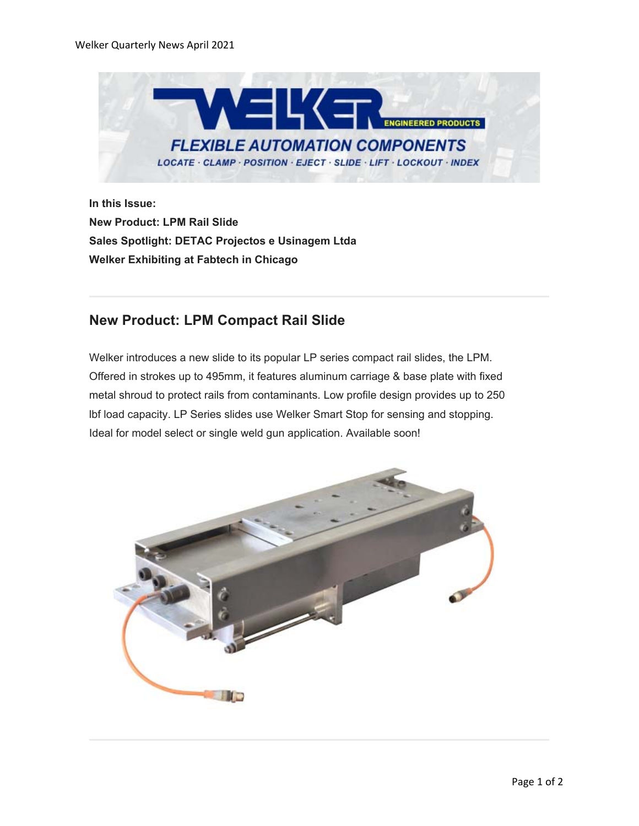

**In this Issue: New Product: LPM Rail Slide Sales Spotlight: DETAC Projectos e Usinagem Ltda Welker Exhibiting at Fabtech in Chicago**

#### **New Product: LPM Compact Rail Slide**

Welker introduces a new slide to its popular LP series compact rail slides, the LPM. Offered in strokes up to 495mm, it features aluminum carriage & base plate with fixed metal shroud to protect rails from contaminants. Low profile design provides up to 250 lbf load capacity. LP Series slides use Welker Smart Stop for sensing and stopping. Ideal for model select or single weld gun application. Available soon!

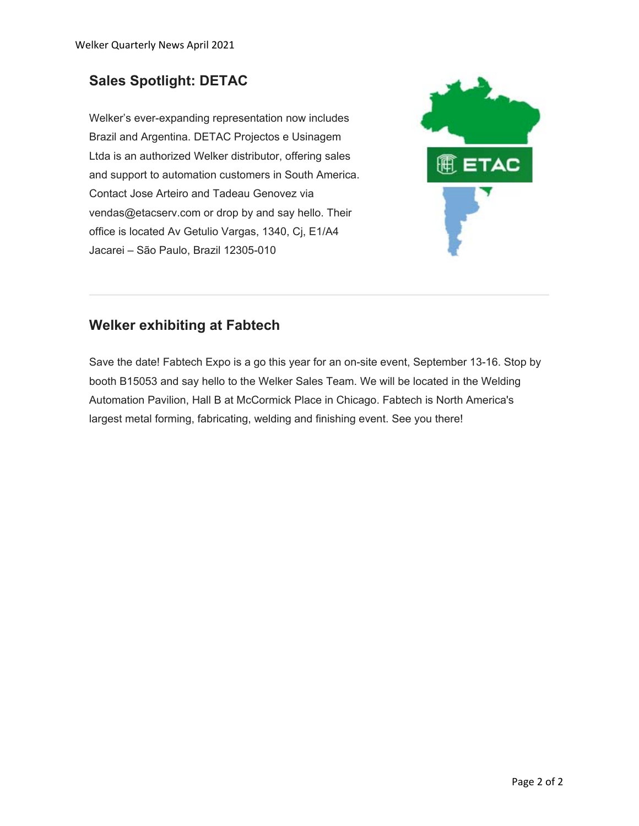# **Sales Spotlight: DETAC**

Welker's ever-expanding representation now includes Brazil and Argentina. DETAC Projectos e Usinagem Ltda is an authorized Welker distributor, offering sales and support to automation customers in South America. Contact Jose Arteiro and Tadeau Genovez via vendas@etacserv.com or drop by and say hello. Their office is located Av Getulio Vargas, 1340, Cj, E1/A4 Jacarei – São Paulo, Brazil 12305-010



## **Welker exhibiting at Fabtech**

Save the date! Fabtech Expo is a go this year for an on-site event, September 13-16. Stop by booth B15053 and say hello to the Welker Sales Team. We will be located in the Welding Automation Pavilion, Hall B at McCormick Place in Chicago. Fabtech is North America's largest metal forming, fabricating, welding and finishing event. See you there!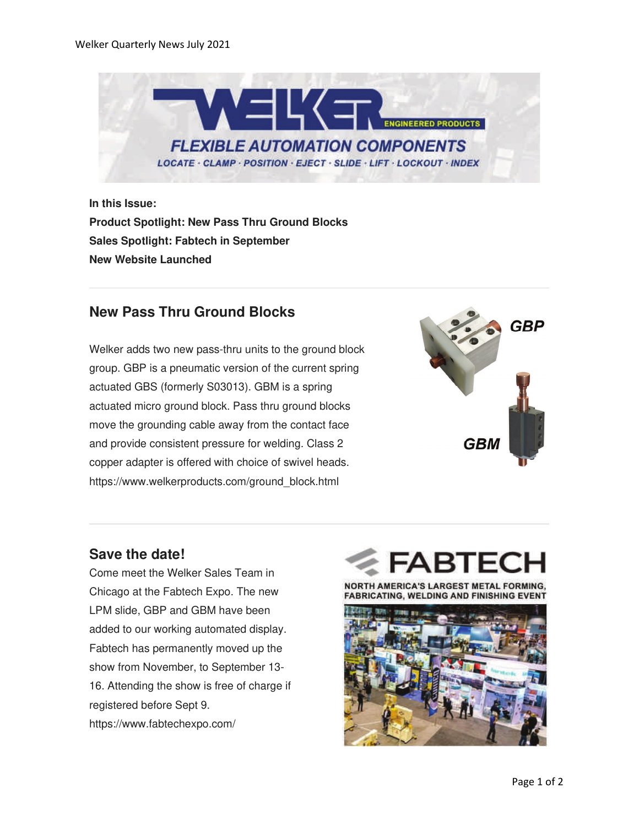

**In this Issue: Product Spotlight: New Pass Thru Ground Blocks Sales Spotlight: Fabtech in September New Website Launched**

## **New Pass Thru Ground Blocks**

Welker adds two new pass-thru units to the ground block group. GBP is a pneumatic version of the current spring actuated GBS (formerly S03013). GBM is a spring actuated micro ground block. Pass thru ground blocks move the grounding cable away from the contact face and provide consistent pressure for welding. Class 2 copper adapter is offered with choice of swivel heads. https://www.welkerproducts.com/ground\_block.html



## **Save the date!**

Come meet the Welker Sales Team in Chicago at the Fabtech Expo. The new LPM slide, GBP and GBM have been added to our working automated display. Fabtech has permanently moved up the show from November, to September 13- 16. Attending the show is free of charge if registered before Sept 9. https://www.fabtechexpo.com/

NORTH AMERICA'S LARGEST METAL FORMING **FABRICATING, WELDING AND FINISHING EVENT** 

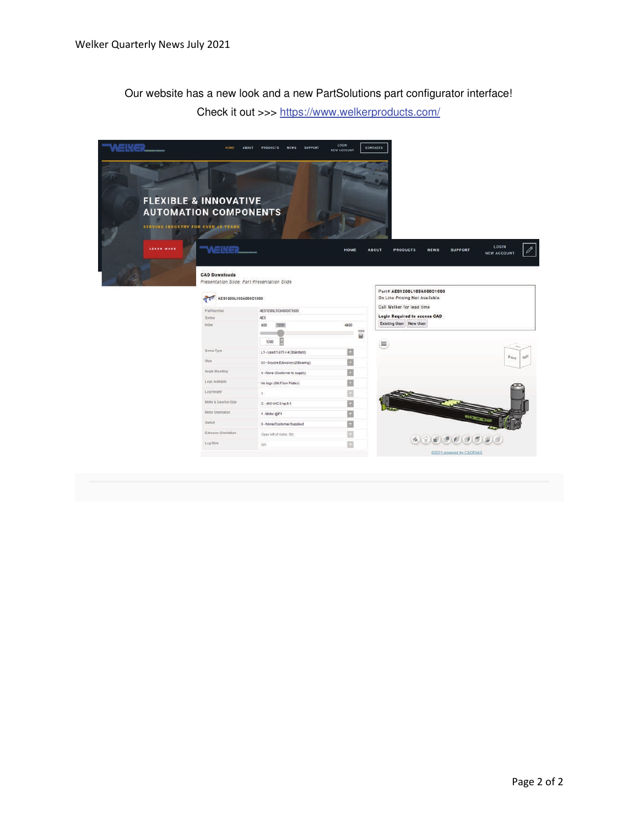Our website has a new look and a new PartSolutions part configurator interface!

Check it out >>> https://www.welkerproducts.com/

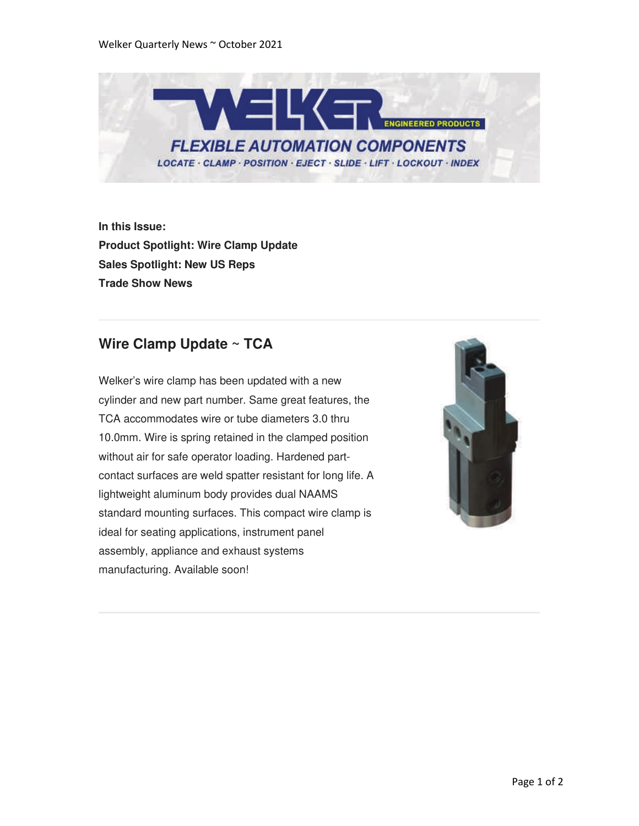

**In this Issue: Product Spotlight: Wire Clamp Update Sales Spotlight: New US Reps Trade Show News**

## **Wire Clamp Update ~ TCA**

Welker's wire clamp has been updated with a new cylinder and new part number. Same great features, the TCA accommodates wire or tube diameters 3.0 thru 10.0mm. Wire is spring retained in the clamped position without air for safe operator loading. Hardened partcontact surfaces are weld spatter resistant for long life. A lightweight aluminum body provides dual NAAMS standard mounting surfaces. This compact wire clamp is ideal for seating applications, instrument panel assembly, appliance and exhaust systems manufacturing. Available soon!